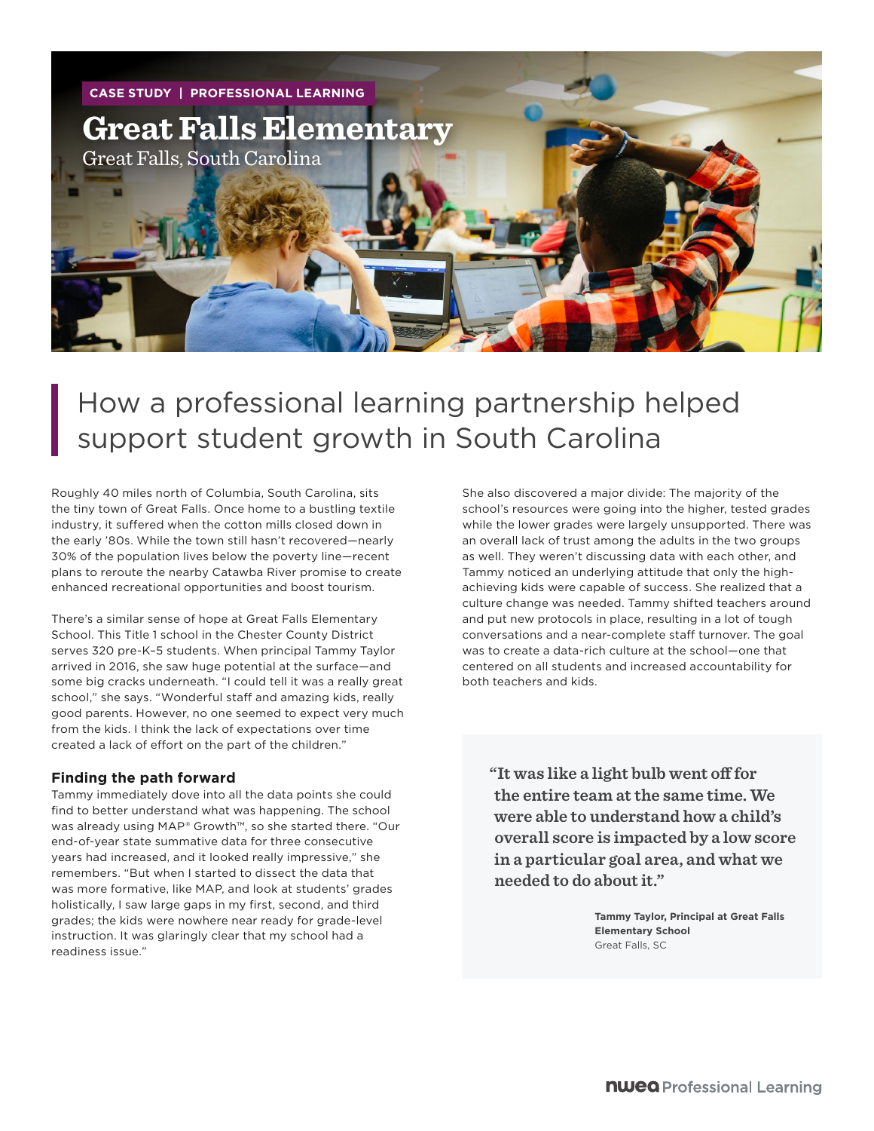

# How a professional learning partnership helped support student growth in South Carolina

Roughly 40 miles north of Columbia, South Carolina, sits the tiny town of Great Falls. Once home to a bustling textile industry, it suffered when the cotton mills closed down in the early '80s. While the town still hasn't recovered—nearly 30% of the population lives below the poverty line—recent plans to reroute the nearby Catawba River promise to create enhanced recreational opportunities and boost tourism.

There's a similar sense of hope at Great Falls Elementary School. This Title 1 school in the Chester County District serves 320 pre-K–5 students. When principal Tammy Taylor arrived in 2016, she saw huge potential at the surface—and some big cracks underneath. "I could tell it was a really great school," she says. "Wonderful staff and amazing kids, really good parents. However, no one seemed to expect very much from the kids. I think the lack of expectations over time created a lack of effort on the part of the children."

### **Finding the path forward**

Tammy immediately dove into all the data points she could find to better understand what was happening. The school was already using MAP® Growth™, so she started there. "Our end-of-year state summative data for three consecutive years had increased, and it looked really impressive," she remembers. "But when I started to dissect the data that was more formative, like MAP, and look at students' grades holistically, I saw large gaps in my first, second, and third grades; the kids were nowhere near ready for grade-level instruction. It was glaringly clear that my school had a readiness issue."

She also discovered a major divide: The majority of the school's resources were going into the higher, tested grades while the lower grades were largely unsupported. There was an overall lack of trust among the adults in the two groups as well. They weren't discussing data with each other, and Tammy noticed an underlying attitude that only the highachieving kids were capable of success. She realized that a culture change was needed. Tammy shifted teachers around and put new protocols in place, resulting in a lot of tough conversations and a near-complete staff turnover. The goal was to create a data-rich culture at the school—one that centered on all students and increased accountability for both teachers and kids.

**"It was like a light bulb went off for the entire team at the same time. We were able to understand how a child's overall score is impacted by a low score in a particular goal area, and what we needed to do about it."**

> **Tammy Taylor, Principal at Great Falls Elementary School** Great Falls, SC